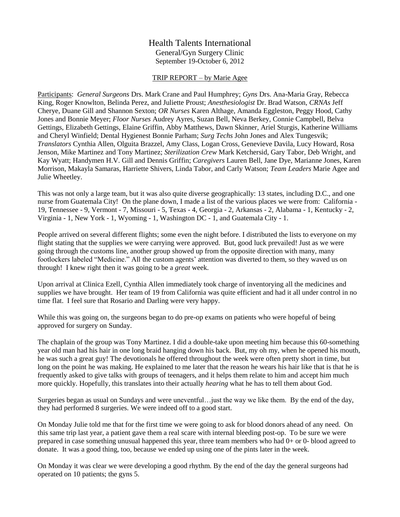## Health Talents International General/Gyn Surgery Clinic September 19-October 6, 2012

## TRIP REPORT – by Marie Agee

Participants: *General Surgeons* Drs. Mark Crane and Paul Humphrey; *Gyns* Drs. Ana-Maria Gray, Rebecca King, Roger Knowlton, Belinda Perez, and Juliette Proust; *Anesthesiologist* Dr. Brad Watson, *CRNAs* Jeff Cherye, Duane Gill and Shannon Sexton; *OR Nurses* Karen Althage, Amanda Eggleston, Peggy Hood, Cathy Jones and Bonnie Meyer; *Floor Nurses* Audrey Ayres, Suzan Bell, Neva Berkey, Connie Campbell, Belva Gettings, Elizabeth Gettings, Elaine Griffin, Abby Matthews, Dawn Skinner, Ariel Sturgis, Katherine Williams and Cheryl Winfield; Dental Hygienest Bonnie Parham; *Surg Techs* John Jones and Alex Tungesvik; *Translators* Cynthia Allen, Olguita Brazzel, Amy Class, Logan Cross, Genevieve Davila, Lucy Howard, Rosa Jenson, Mike Martinez and Tony Martinez; *Sterilization Crew* Mark Ketchersid, Gary Tabor, Deb Wright, and Kay Wyatt; Handymen H.V. Gill and Dennis Griffin; *Caregivers* Lauren Bell, Jane Dye, Marianne Jones, Karen Morrison, Makayla Samaras, Harriette Shivers, Linda Tabor, and Carly Watson; *Team Leaders* Marie Agee and Julie Wheetley.

This was not only a large team, but it was also quite diverse geographically: 13 states, including D.C., and one nurse from Guatemala City! On the plane down, I made a list of the various places we were from: California - 19, Tennessee - 9, Vermont - 7, Missouri - 5, Texas - 4, Georgia - 2, Arkansas - 2, Alabama - 1, Kentucky - 2, Virginia - 1, New York - 1, Wyoming - 1, Washington DC - 1, and Guatemala City - 1.

People arrived on several different flights; some even the night before. I distributed the lists to everyone on my flight stating that the supplies we were carrying were approved. But, good luck prevailed! Just as we were going through the customs line, another group showed up from the opposite direction with many, many footlockers labeled "Medicine." All the custom agents' attention was diverted to them, so they waved us on through! I knew right then it was going to be a *great* week.

Upon arrival at Clinica Ezell, Cynthia Allen immediately took charge of inventorying all the medicines and supplies we have brought. Her team of 19 from California was quite efficient and had it all under control in no time flat. I feel sure that Rosario and Darling were very happy.

While this was going on, the surgeons began to do pre-op exams on patients who were hopeful of being approved for surgery on Sunday.

The chaplain of the group was Tony Martinez. I did a double-take upon meeting him because this 60-something year old man had his hair in one long braid hanging down his back. But, my oh my, when he opened his mouth, he was such a great guy! The devotionals he offered throughout the week were often pretty short in time, but long on the point he was making. He explained to me later that the reason he wears his hair like that is that he is frequently asked to give talks with groups of teenagers, and it helps them relate to him and accept him much more quickly. Hopefully, this translates into their actually *hearing* what he has to tell them about God.

Surgeries began as usual on Sundays and were uneventful…just the way we like them. By the end of the day, they had performed 8 surgeries. We were indeed off to a good start.

On Monday Julie told me that for the first time we were going to ask for blood donors ahead of any need. On this same trip last year, a patient gave them a real scare with internal bleeding post-op. To be sure we were prepared in case something unusual happened this year, three team members who had 0+ or 0- blood agreed to donate. It was a good thing, too, because we ended up using one of the pints later in the week.

On Monday it was clear we were developing a good rhythm. By the end of the day the general surgeons had operated on 10 patients; the gyns 5.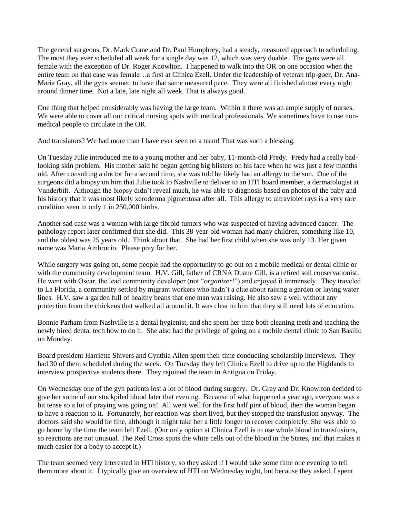The general surgeons, Dr. Mark Crane and Dr. Paul Humphrey, had a steady, measured approach to scheduling. The most they ever scheduled all week for a single day was 12, which was very doable. The gyns were all female with the exception of Dr. Roger Knowlton. I happened to walk into the OR on one occasion when the entire team on that case was female…a first at Clinica Ezell. Under the leadership of veteran trip-goer, Dr. Ana-Maria Gray, all the gyns seemed to have that same measured pace. They were all finished almost every night around dinner time. Not a late, late night all week. That is always good.

One thing that helped considerably was having the large team. Within it there was an ample supply of nurses. We were able to cover all our critical nursing spots with medical professionals. We sometimes have to use nonmedical people to circulate in the OR.

And translators? We had more than I have ever seen on a team! That was such a blessing.

On Tuesday Julie introduced me to a young mother and her baby, 11-month-old Fredy. Fredy had a really badlooking skin problem. His mother said he began getting big blisters on his face when he was just a few months old. After consulting a doctor for a second time, she was told he likely had an allergy to the sun. One of the surgeons did a biopsy on him that Julie took to Nashville to deliver to an HTI board member, a dermatologist at Vanderbilt. Although the biopsy didn't reveal much, he was able to diagnosis based on photos of the baby and his history that it was most likely xeroderma pigmentosa after all. This allergy to ultraviolet rays is a very rare condition seen in only 1 in 250,000 births.

Another sad case was a woman with large fibroid tumors who was suspected of having advanced cancer. The pathology report later confirmed that she did. This 38-year-old woman had many children, something like 10, and the oldest was 25 years old. Think about that. She had her first child when she was only 13. Her given name was Maria Ambrocio. Please pray for her.

While surgery was going on, some people had the opportunity to go out on a mobile medical or dental clinic or with the community development team. H.V. Gill, father of CRNA Duane Gill, is a retired soil conservationist. He went with Oscar, the lead community developer (not "*organizer*!") and enjoyed it immensely. They traveled to La Florida, a community settled by migrant workers who hadn't a clue about raising a garden or laying water lines. H.V. saw a garden full of healthy beans that one man was raising. He also saw a well without any protection from the chickens that walked all around it. It was clear to him that they still need lots of education.

Bonnie Parham from Nashville is a dental hygienist, and she spent her time both cleaning teeth and teaching the newly hired dental tech how to do it. She also had the privilege of going on a mobile dental clinic to San Basilio on Monday.

Board president Harriette Shivers and Cynthia Allen spent their time conducting scholarship interviews. They had 30 of them scheduled during the week. On Tuesday they left Clinica Ezell to drive up to the Highlands to interview prospective students there. They rejoined the team in Antigua on Friday.

On Wednesday one of the gyn patients lost a lot of blood during surgery. Dr. Gray and Dr. Knowlton decided to give her some of our stockpiled blood later that evening. Because of what happened a year ago, everyone was a bit tense so a lot of praying was going on! All went well for the first half pint of blood, then the woman began to have a reaction to it. Fortunately, her reaction was short lived, but they stopped the transfusion anyway. The doctors said she would be fine, although it might take her a little longer to recover completely. She was able to go home by the time the team left Ezell. (Our only option at Clinica Ezell is to use whole blood in transfusions, so reactions are not unusual. The Red Cross spins the white cells out of the blood in the States, and that makes it much easier for a body to accept it.)

The team seemed very interested in HTI history, so they asked if I would take some time one evening to tell them more about it. I typically give an overview of HTI on Wednesday night, but because they asked, I spent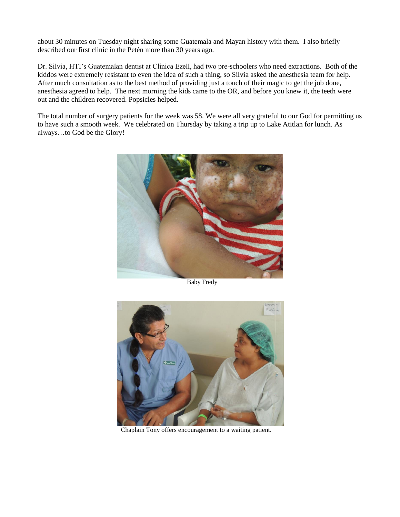about 30 minutes on Tuesday night sharing some Guatemala and Mayan history with them. I also briefly described our first clinic in the Petén more than 30 years ago.

Dr. Silvia, HTI's Guatemalan dentist at Clinica Ezell, had two pre-schoolers who need extractions. Both of the kiddos were extremely resistant to even the idea of such a thing, so Silvia asked the anesthesia team for help. After much consultation as to the best method of providing just a touch of their magic to get the job done, anesthesia agreed to help. The next morning the kids came to the OR, and before you knew it, the teeth were out and the children recovered. Popsicles helped.

The total number of surgery patients for the week was 58. We were all very grateful to our God for permitting us to have such a smooth week. We celebrated on Thursday by taking a trip up to Lake Atitlan for lunch. As always…to God be the Glory!



Baby Fredy



Chaplain Tony offers encouragement to a waiting patient.